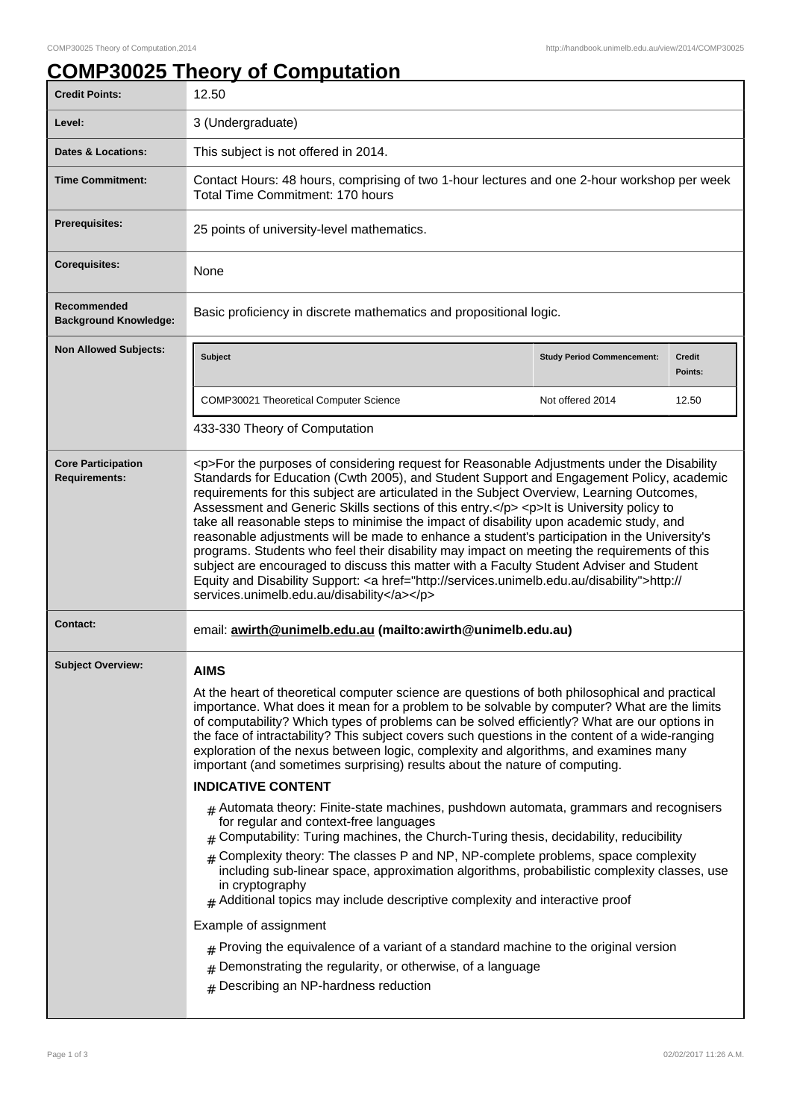## **COMP30025 Theory of Computation**

| <b>Credit Points:</b>                             | 12.50                                                                                                                                                                                                                                                                                                                                                                                                                                                                                                                                                                                                                                                                                                                                                                                                                                                                                                                                                                                                                                                                                                                                                                                                                                                                                                                                                                            |                                   |                          |  |
|---------------------------------------------------|----------------------------------------------------------------------------------------------------------------------------------------------------------------------------------------------------------------------------------------------------------------------------------------------------------------------------------------------------------------------------------------------------------------------------------------------------------------------------------------------------------------------------------------------------------------------------------------------------------------------------------------------------------------------------------------------------------------------------------------------------------------------------------------------------------------------------------------------------------------------------------------------------------------------------------------------------------------------------------------------------------------------------------------------------------------------------------------------------------------------------------------------------------------------------------------------------------------------------------------------------------------------------------------------------------------------------------------------------------------------------------|-----------------------------------|--------------------------|--|
| Level:                                            | 3 (Undergraduate)                                                                                                                                                                                                                                                                                                                                                                                                                                                                                                                                                                                                                                                                                                                                                                                                                                                                                                                                                                                                                                                                                                                                                                                                                                                                                                                                                                |                                   |                          |  |
| <b>Dates &amp; Locations:</b>                     | This subject is not offered in 2014.                                                                                                                                                                                                                                                                                                                                                                                                                                                                                                                                                                                                                                                                                                                                                                                                                                                                                                                                                                                                                                                                                                                                                                                                                                                                                                                                             |                                   |                          |  |
| <b>Time Commitment:</b>                           | Contact Hours: 48 hours, comprising of two 1-hour lectures and one 2-hour workshop per week<br>Total Time Commitment: 170 hours                                                                                                                                                                                                                                                                                                                                                                                                                                                                                                                                                                                                                                                                                                                                                                                                                                                                                                                                                                                                                                                                                                                                                                                                                                                  |                                   |                          |  |
| <b>Prerequisites:</b>                             | 25 points of university-level mathematics.                                                                                                                                                                                                                                                                                                                                                                                                                                                                                                                                                                                                                                                                                                                                                                                                                                                                                                                                                                                                                                                                                                                                                                                                                                                                                                                                       |                                   |                          |  |
| <b>Corequisites:</b>                              | None                                                                                                                                                                                                                                                                                                                                                                                                                                                                                                                                                                                                                                                                                                                                                                                                                                                                                                                                                                                                                                                                                                                                                                                                                                                                                                                                                                             |                                   |                          |  |
| Recommended<br><b>Background Knowledge:</b>       | Basic proficiency in discrete mathematics and propositional logic.                                                                                                                                                                                                                                                                                                                                                                                                                                                                                                                                                                                                                                                                                                                                                                                                                                                                                                                                                                                                                                                                                                                                                                                                                                                                                                               |                                   |                          |  |
| <b>Non Allowed Subjects:</b>                      | <b>Subject</b>                                                                                                                                                                                                                                                                                                                                                                                                                                                                                                                                                                                                                                                                                                                                                                                                                                                                                                                                                                                                                                                                                                                                                                                                                                                                                                                                                                   | <b>Study Period Commencement:</b> | <b>Credit</b><br>Points: |  |
|                                                   | COMP30021 Theoretical Computer Science                                                                                                                                                                                                                                                                                                                                                                                                                                                                                                                                                                                                                                                                                                                                                                                                                                                                                                                                                                                                                                                                                                                                                                                                                                                                                                                                           | Not offered 2014                  | 12.50                    |  |
|                                                   | 433-330 Theory of Computation                                                                                                                                                                                                                                                                                                                                                                                                                                                                                                                                                                                                                                                                                                                                                                                                                                                                                                                                                                                                                                                                                                                                                                                                                                                                                                                                                    |                                   |                          |  |
| <b>Core Participation</b><br><b>Requirements:</b> | <p>For the purposes of considering request for Reasonable Adjustments under the Disability<br/>Standards for Education (Cwth 2005), and Student Support and Engagement Policy, academic<br/>requirements for this subject are articulated in the Subject Overview, Learning Outcomes,<br/>Assessment and Generic Skills sections of this entry.</p> <p>It is University policy to<br/>take all reasonable steps to minimise the impact of disability upon academic study, and<br/>reasonable adjustments will be made to enhance a student's participation in the University's<br/>programs. Students who feel their disability may impact on meeting the requirements of this<br/>subject are encouraged to discuss this matter with a Faculty Student Adviser and Student<br/>Equity and Disability Support: &lt; a href="http://services.unimelb.edu.au/disability"&gt;http://<br/>services.unimelb.edu.au/disability</p>                                                                                                                                                                                                                                                                                                                                                                                                                                                     |                                   |                          |  |
| <b>Contact:</b>                                   | email: awirth@unimelb.edu.au (mailto:awirth@unimelb.edu.au)                                                                                                                                                                                                                                                                                                                                                                                                                                                                                                                                                                                                                                                                                                                                                                                                                                                                                                                                                                                                                                                                                                                                                                                                                                                                                                                      |                                   |                          |  |
| <b>Subject Overview:</b>                          | <b>AIMS</b><br>At the heart of theoretical computer science are questions of both philosophical and practical<br>importance. What does it mean for a problem to be solvable by computer? What are the limits<br>of computability? Which types of problems can be solved efficiently? What are our options in<br>the face of intractability? This subject covers such questions in the content of a wide-ranging<br>exploration of the nexus between logic, complexity and algorithms, and examines many<br>important (and sometimes surprising) results about the nature of computing.<br><b>INDICATIVE CONTENT</b><br>$#$ Automata theory: Finite-state machines, pushdown automata, grammars and recognisers<br>for regular and context-free languages<br>Computability: Turing machines, the Church-Turing thesis, decidability, reducibility<br>Complexity theory: The classes P and NP, NP-complete problems, space complexity<br>$\pm$<br>including sub-linear space, approximation algorithms, probabilistic complexity classes, use<br>in cryptography<br>$#$ Additional topics may include descriptive complexity and interactive proof<br>Example of assignment<br>$*$ Proving the equivalence of a variant of a standard machine to the original version<br>Demonstrating the regularity, or otherwise, of a language<br>#<br>$#$ Describing an NP-hardness reduction |                                   |                          |  |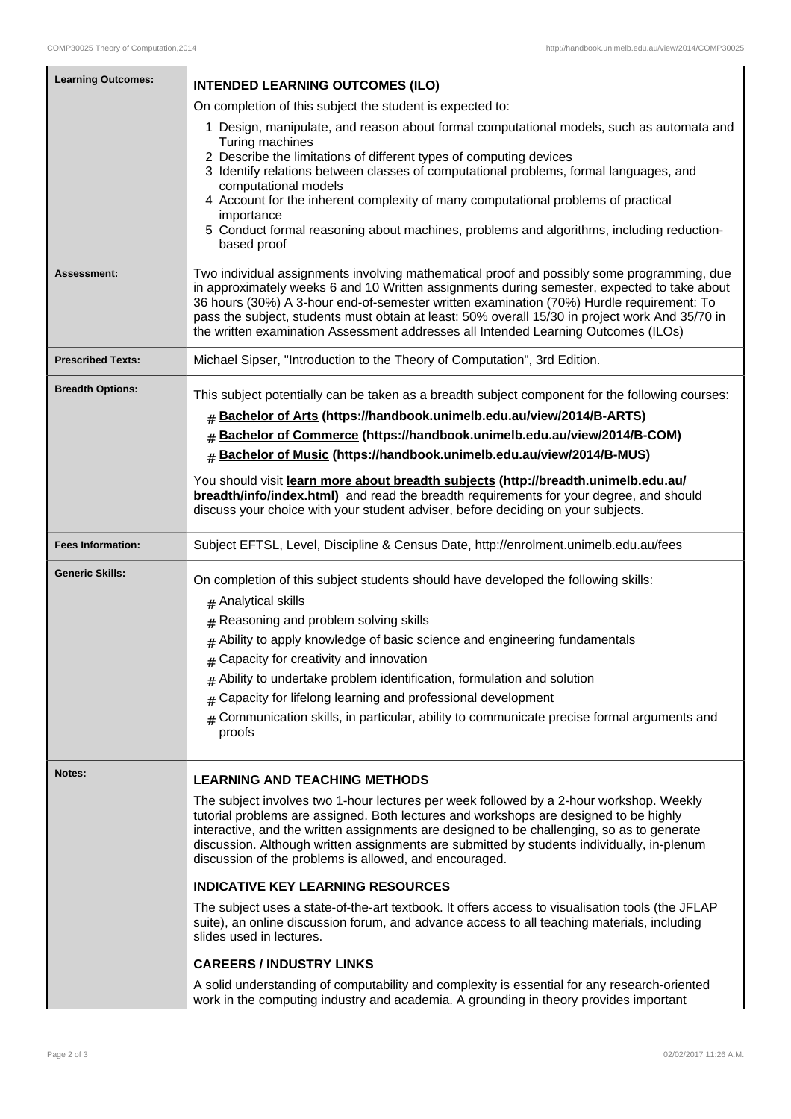| <b>Learning Outcomes:</b> | <b>INTENDED LEARNING OUTCOMES (ILO)</b>                                                                                                                                                                                                                                                                                                                                                                                                                                                           |  |  |
|---------------------------|---------------------------------------------------------------------------------------------------------------------------------------------------------------------------------------------------------------------------------------------------------------------------------------------------------------------------------------------------------------------------------------------------------------------------------------------------------------------------------------------------|--|--|
|                           | On completion of this subject the student is expected to:                                                                                                                                                                                                                                                                                                                                                                                                                                         |  |  |
|                           | 1 Design, manipulate, and reason about formal computational models, such as automata and<br>Turing machines<br>2 Describe the limitations of different types of computing devices<br>3 Identify relations between classes of computational problems, formal languages, and<br>computational models<br>4 Account for the inherent complexity of many computational problems of practical<br>importance<br>5 Conduct formal reasoning about machines, problems and algorithms, including reduction- |  |  |
|                           | based proof                                                                                                                                                                                                                                                                                                                                                                                                                                                                                       |  |  |
| Assessment:               | Two individual assignments involving mathematical proof and possibly some programming, due<br>in approximately weeks 6 and 10 Written assignments during semester, expected to take about<br>36 hours (30%) A 3-hour end-of-semester written examination (70%) Hurdle requirement: To<br>pass the subject, students must obtain at least: 50% overall 15/30 in project work And 35/70 in<br>the written examination Assessment addresses all Intended Learning Outcomes (ILOs)                    |  |  |
| <b>Prescribed Texts:</b>  | Michael Sipser, "Introduction to the Theory of Computation", 3rd Edition.                                                                                                                                                                                                                                                                                                                                                                                                                         |  |  |
| <b>Breadth Options:</b>   | This subject potentially can be taken as a breadth subject component for the following courses:                                                                                                                                                                                                                                                                                                                                                                                                   |  |  |
|                           | Bachelor of Arts (https://handbook.unimelb.edu.au/view/2014/B-ARTS)<br>#                                                                                                                                                                                                                                                                                                                                                                                                                          |  |  |
|                           | Bachelor of Commerce (https://handbook.unimelb.edu.au/view/2014/B-COM)<br>#                                                                                                                                                                                                                                                                                                                                                                                                                       |  |  |
|                           | Bachelor of Music (https://handbook.unimelb.edu.au/view/2014/B-MUS)<br>#                                                                                                                                                                                                                                                                                                                                                                                                                          |  |  |
|                           | You should visit learn more about breadth subjects (http://breadth.unimelb.edu.au/<br>breadth/info/index.html) and read the breadth requirements for your degree, and should<br>discuss your choice with your student adviser, before deciding on your subjects.                                                                                                                                                                                                                                  |  |  |
| <b>Fees Information:</b>  | Subject EFTSL, Level, Discipline & Census Date, http://enrolment.unimelb.edu.au/fees                                                                                                                                                                                                                                                                                                                                                                                                              |  |  |
| <b>Generic Skills:</b>    | On completion of this subject students should have developed the following skills:                                                                                                                                                                                                                                                                                                                                                                                                                |  |  |
|                           | $#$ Analytical skills                                                                                                                                                                                                                                                                                                                                                                                                                                                                             |  |  |
|                           | Reasoning and problem solving skills<br>#                                                                                                                                                                                                                                                                                                                                                                                                                                                         |  |  |
|                           | $#$ Ability to apply knowledge of basic science and engineering fundamentals                                                                                                                                                                                                                                                                                                                                                                                                                      |  |  |
|                           | $#$ Capacity for creativity and innovation                                                                                                                                                                                                                                                                                                                                                                                                                                                        |  |  |
|                           | $#$ Ability to undertake problem identification, formulation and solution                                                                                                                                                                                                                                                                                                                                                                                                                         |  |  |
|                           | Capacity for lifelong learning and professional development<br>#                                                                                                                                                                                                                                                                                                                                                                                                                                  |  |  |
|                           | Communication skills, in particular, ability to communicate precise formal arguments and<br>#<br>proofs                                                                                                                                                                                                                                                                                                                                                                                           |  |  |
| Notes:                    | <b>LEARNING AND TEACHING METHODS</b>                                                                                                                                                                                                                                                                                                                                                                                                                                                              |  |  |
|                           | The subject involves two 1-hour lectures per week followed by a 2-hour workshop. Weekly<br>tutorial problems are assigned. Both lectures and workshops are designed to be highly<br>interactive, and the written assignments are designed to be challenging, so as to generate<br>discussion. Although written assignments are submitted by students individually, in-plenum<br>discussion of the problems is allowed, and encouraged.                                                            |  |  |
|                           | <b>INDICATIVE KEY LEARNING RESOURCES</b>                                                                                                                                                                                                                                                                                                                                                                                                                                                          |  |  |
|                           | The subject uses a state-of-the-art textbook. It offers access to visualisation tools (the JFLAP<br>suite), an online discussion forum, and advance access to all teaching materials, including<br>slides used in lectures.                                                                                                                                                                                                                                                                       |  |  |
|                           | <b>CAREERS / INDUSTRY LINKS</b>                                                                                                                                                                                                                                                                                                                                                                                                                                                                   |  |  |
|                           | A solid understanding of computability and complexity is essential for any research-oriented<br>work in the computing industry and academia. A grounding in theory provides important                                                                                                                                                                                                                                                                                                             |  |  |